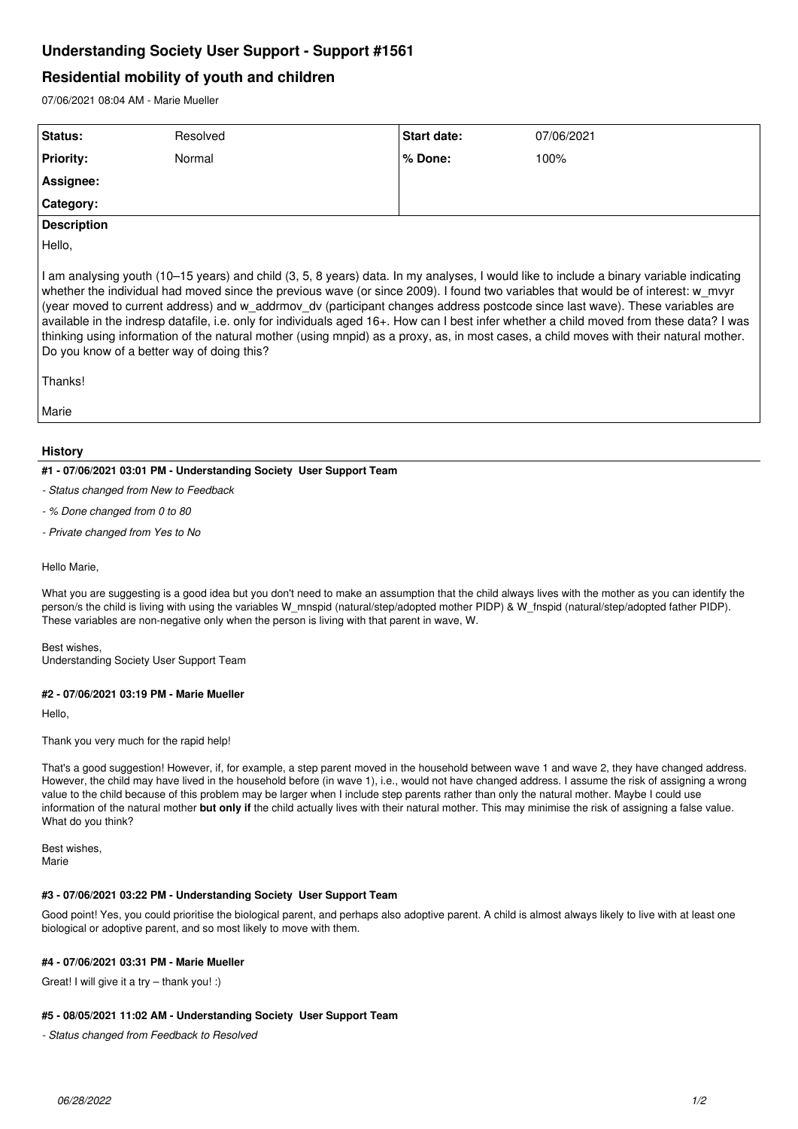# **Understanding Society User Support - Support #1561**

## **Residential mobility of youth and children**

07/06/2021 08:04 AM - Marie Mueller

| Status:            | Resolved | Start date: | 07/06/2021 |
|--------------------|----------|-------------|------------|
| <b>Priority:</b>   | Normal   | % Done:     | 100%       |
| Assignee:          |          |             |            |
| Category:          |          |             |            |
| <b>Description</b> |          |             |            |
| Hello,             |          |             |            |

I am analysing youth (10–15 years) and child (3, 5, 8 years) data. In my analyses, I would like to include a binary variable indicating whether the individual had moved since the previous wave (or since 2009). I found two variables that would be of interest: w\_mvyr (year moved to current address) and w\_addrmov\_dv (participant changes address postcode since last wave). These variables are available in the indresp datafile, i.e. only for individuals aged 16+. How can I best infer whether a child moved from these data? I was thinking using information of the natural mother (using mnpid) as a proxy, as, in most cases, a child moves with their natural mother. Do you know of a better way of doing this?

Thanks!

Marie

### **History**

#### **#1 - 07/06/2021 03:01 PM - Understanding Society User Support Team**

- *Status changed from New to Feedback*
- *% Done changed from 0 to 80*
- *Private changed from Yes to No*

Hello Marie,

What you are suggesting is a good idea but you don't need to make an assumption that the child always lives with the mother as you can identify the person/s the child is living with using the variables W\_mnspid (natural/step/adopted mother PIDP) & W\_fnspid (natural/step/adopted father PIDP). These variables are non-negative only when the person is living with that parent in wave, W.

Best wishes,

Understanding Society User Support Team

#### **#2 - 07/06/2021 03:19 PM - Marie Mueller**

Hello,

Thank you very much for the rapid help!

That's a good suggestion! However, if, for example, a step parent moved in the household between wave 1 and wave 2, they have changed address. However, the child may have lived in the household before (in wave 1), i.e., would not have changed address. I assume the risk of assigning a wrong value to the child because of this problem may be larger when I include step parents rather than only the natural mother. Maybe I could use information of the natural mother **but only if** the child actually lives with their natural mother. This may minimise the risk of assigning a false value. What do you think?

Best wishes, Marie

#### **#3 - 07/06/2021 03:22 PM - Understanding Society User Support Team**

Good point! Yes, you could prioritise the biological parent, and perhaps also adoptive parent. A child is almost always likely to live with at least one biological or adoptive parent, and so most likely to move with them.

#### **#4 - 07/06/2021 03:31 PM - Marie Mueller**

Great! I will give it a try – thank you! :)

#### **#5 - 08/05/2021 11:02 AM - Understanding Society User Support Team**

*- Status changed from Feedback to Resolved*